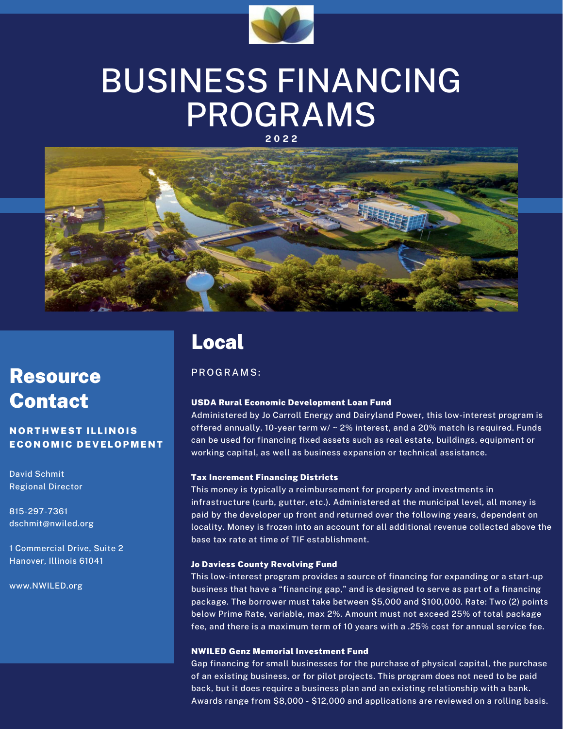

# BUSINESS FINANCING PROGRAMS

**2 0 2 2**



# Resource Contact

**NORTHWEST ILLINOIS** ECONOMIC DEVELOPMENT

David Schmit Regional Director

815-297-7361 dschmit@nwiled.org

1 Commercial Drive, Suite 2 Hanover, Illinois 61041

www.NWILED.org

### Local

PR O G R A M S:

#### USDA Rural Economic Development Loan Fund

Administered by Jo Carroll Energy and Dairyland Power, this low-interest program is offered annually. 10-year term w/ ~ 2% interest, and a 20% match is required. Funds can be used for financing fixed assets such as real estate, buildings, equipment or working capital, as well as business expansion or technical assistance.

#### Tax Increment Financing Districts

This money is typically a reimbursement for property and investments in infrastructure (curb, gutter, etc.). Administered at the municipal level, all money is paid by the developer up front and returned over the following years, dependent on locality. Money is frozen into an account for all additional revenue collected above the base tax rate at time of TIF establishment.

#### Jo Daviess County Revolving Fund

This low-interest program provides a source of financing for expanding or a start-up business that have a "financing gap," and is designed to serve as part of a financing package. The borrower must take between \$5,000 and \$100,000. Rate: Two (2) points below Prime Rate, variable, max 2%. Amount must not exceed 25% of total package fee, and there is a maximum term of 10 years with a .25% cost for annual service fee.

#### NWILED Genz Memorial Investment Fund

Gap financing for small businesses for the purchase of physical capital, the purchase of an existing business, or for pilot projects. This program does not need to be paid back, but it does require a business plan and an existing relationship with a bank. Awards range from \$8,000 - \$12,000 and applications are reviewed on a rolling basis.